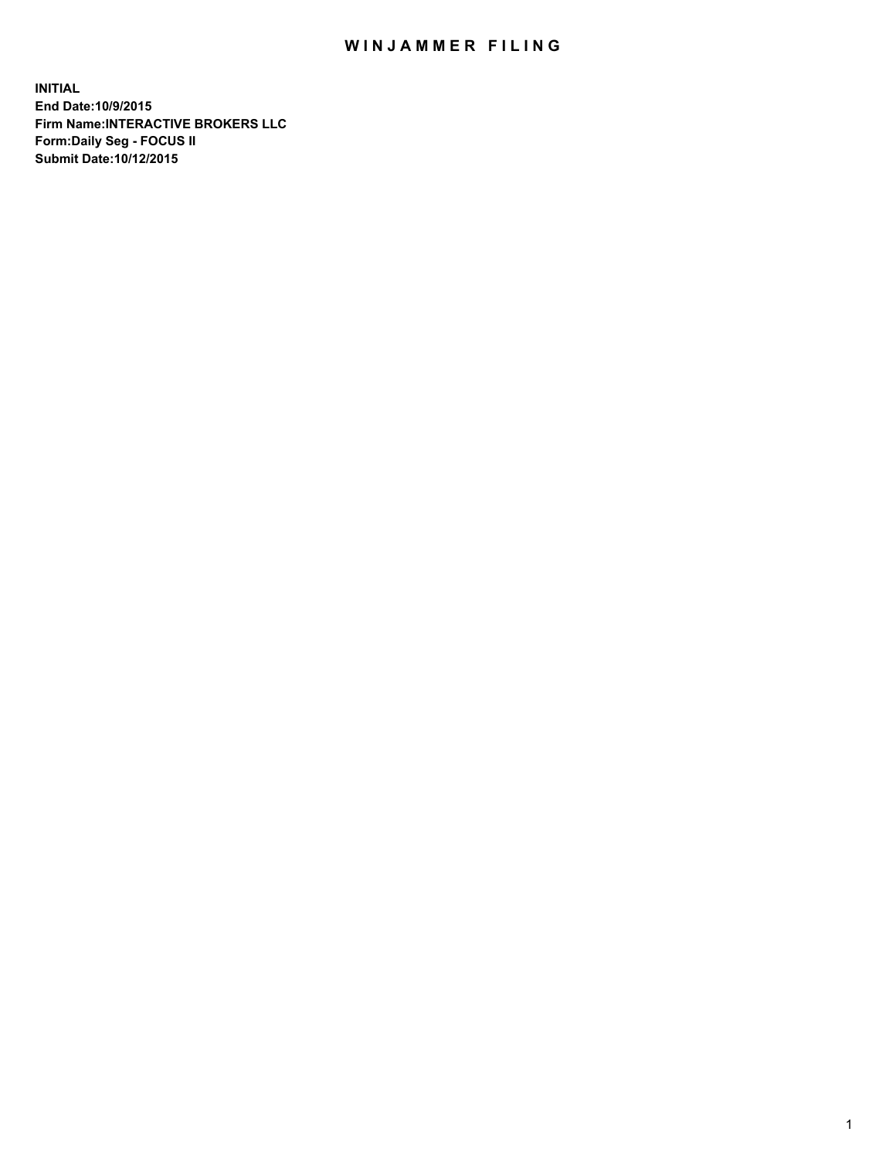## WIN JAMMER FILING

**INITIAL End Date:10/9/2015 Firm Name:INTERACTIVE BROKERS LLC Form:Daily Seg - FOCUS II Submit Date:10/12/2015**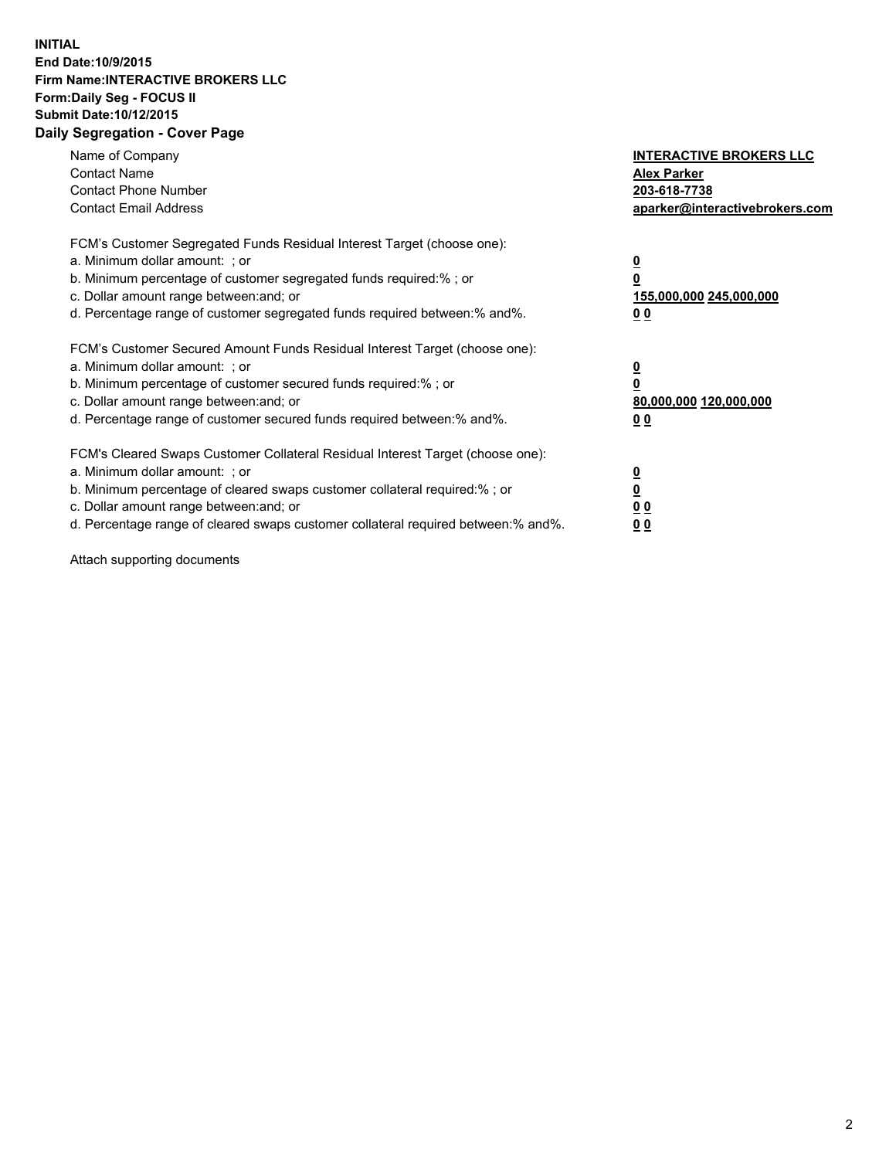## **INITIAL End Date:10/9/2015 Firm Name:INTERACTIVE BROKERS LLC Form:Daily Seg - FOCUS II Submit Date:10/12/2015 Daily Segregation - Cover Page**

| Name of Company<br><b>Contact Name</b><br><b>Contact Phone Number</b><br><b>Contact Email Address</b>                                                                                                                                                                                                                          | <b>INTERACTIVE BROKERS LLC</b><br><b>Alex Parker</b><br>203-618-7738<br>aparker@interactivebrokers.com |
|--------------------------------------------------------------------------------------------------------------------------------------------------------------------------------------------------------------------------------------------------------------------------------------------------------------------------------|--------------------------------------------------------------------------------------------------------|
| FCM's Customer Segregated Funds Residual Interest Target (choose one):<br>a. Minimum dollar amount: ; or<br>b. Minimum percentage of customer segregated funds required:%; or<br>c. Dollar amount range between: and; or<br>d. Percentage range of customer segregated funds required between:% and%.                          | <u>0</u><br>155,000,000 245,000,000<br><u>00</u>                                                       |
| FCM's Customer Secured Amount Funds Residual Interest Target (choose one):<br>a. Minimum dollar amount: ; or<br>b. Minimum percentage of customer secured funds required:% ; or<br>c. Dollar amount range between: and; or<br>d. Percentage range of customer secured funds required between:% and%.                           | <u>0</u><br>80,000,000 120,000,000<br><u>00</u>                                                        |
| FCM's Cleared Swaps Customer Collateral Residual Interest Target (choose one):<br>a. Minimum dollar amount: ; or<br>b. Minimum percentage of cleared swaps customer collateral required:% ; or<br>c. Dollar amount range between: and; or<br>d. Percentage range of cleared swaps customer collateral required between:% and%. | <u>0</u><br>0 <sub>0</sub><br>0 <sub>0</sub>                                                           |

Attach supporting documents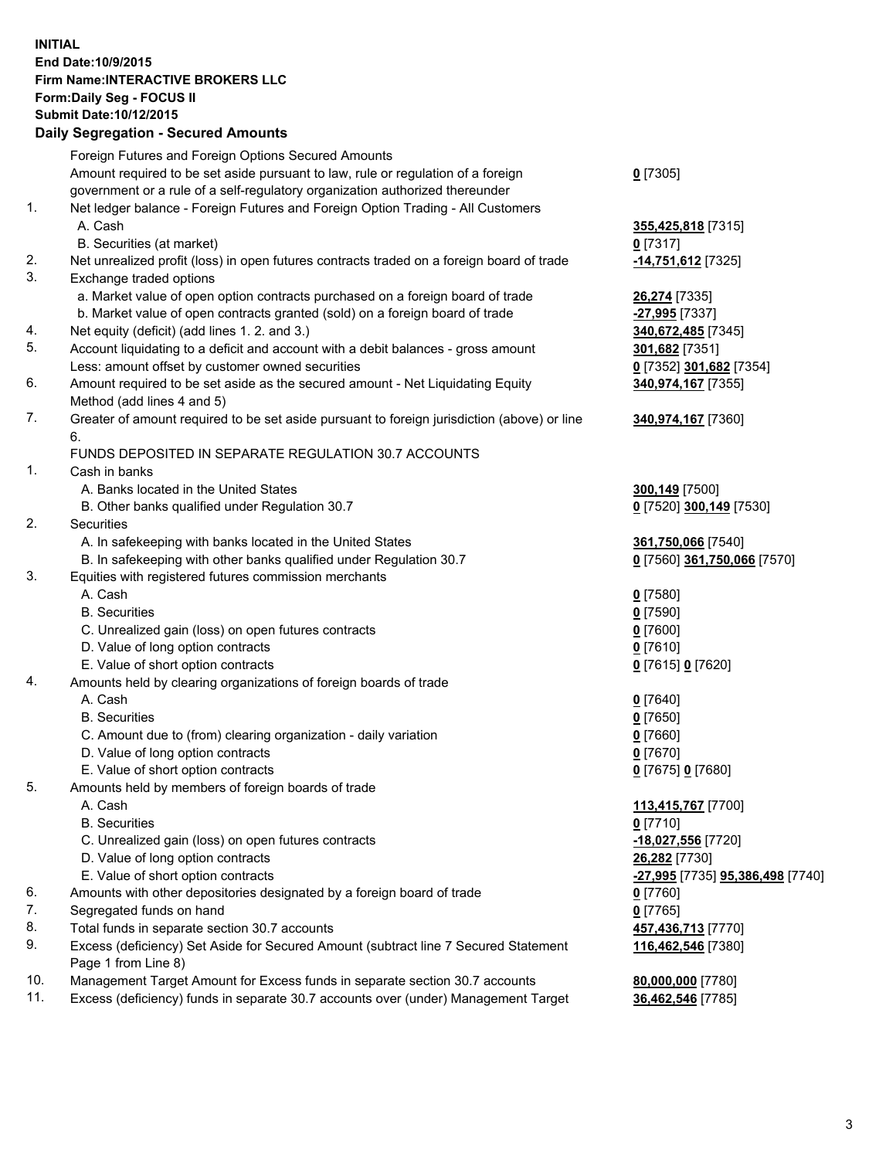## **INITIAL End Date:10/9/2015 Firm Name:INTERACTIVE BROKERS LLC Form:Daily Seg - FOCUS II Submit Date:10/12/2015 Daily Segregation - Secured Amounts**

|     | Daily Jegregation - Jeculed Aniounts                                                                       |                                  |
|-----|------------------------------------------------------------------------------------------------------------|----------------------------------|
|     | Foreign Futures and Foreign Options Secured Amounts                                                        |                                  |
|     | Amount required to be set aside pursuant to law, rule or regulation of a foreign                           | $0$ [7305]                       |
|     | government or a rule of a self-regulatory organization authorized thereunder                               |                                  |
| 1.  | Net ledger balance - Foreign Futures and Foreign Option Trading - All Customers                            |                                  |
|     | A. Cash                                                                                                    | 355,425,818 [7315]               |
|     | B. Securities (at market)                                                                                  | $0$ [7317]                       |
| 2.  | Net unrealized profit (loss) in open futures contracts traded on a foreign board of trade                  | -14,751,612 [7325]               |
| 3.  | Exchange traded options                                                                                    |                                  |
|     | a. Market value of open option contracts purchased on a foreign board of trade                             | 26,274 [7335]                    |
|     | b. Market value of open contracts granted (sold) on a foreign board of trade                               | -27,995 [7337]                   |
| 4.  | Net equity (deficit) (add lines 1.2. and 3.)                                                               | 340,672,485 [7345]               |
| 5.  | Account liquidating to a deficit and account with a debit balances - gross amount                          | 301,682 [7351]                   |
|     | Less: amount offset by customer owned securities                                                           | 0 [7352] 301,682 [7354]          |
| 6.  | Amount required to be set aside as the secured amount - Net Liquidating Equity                             | 340,974,167 [7355]               |
|     | Method (add lines 4 and 5)                                                                                 |                                  |
| 7.  | Greater of amount required to be set aside pursuant to foreign jurisdiction (above) or line                | 340,974,167 [7360]               |
|     | 6.                                                                                                         |                                  |
|     | FUNDS DEPOSITED IN SEPARATE REGULATION 30.7 ACCOUNTS                                                       |                                  |
| 1.  | Cash in banks                                                                                              |                                  |
|     | A. Banks located in the United States                                                                      | <b>300,149</b> [7500]            |
|     | B. Other banks qualified under Regulation 30.7                                                             | 0 [7520] 300,149 [7530]          |
| 2.  | Securities                                                                                                 |                                  |
|     | A. In safekeeping with banks located in the United States                                                  | 361,750,066 [7540]               |
|     | B. In safekeeping with other banks qualified under Regulation 30.7                                         | 0 [7560] 361,750,066 [7570]      |
| 3.  | Equities with registered futures commission merchants                                                      |                                  |
|     | A. Cash                                                                                                    | $0$ [7580]                       |
|     | <b>B.</b> Securities                                                                                       | $0$ [7590]                       |
|     | C. Unrealized gain (loss) on open futures contracts                                                        | $0$ [7600]                       |
|     | D. Value of long option contracts                                                                          | $0$ [7610]                       |
|     | E. Value of short option contracts                                                                         | 0 [7615] 0 [7620]                |
| 4.  | Amounts held by clearing organizations of foreign boards of trade                                          |                                  |
|     | A. Cash                                                                                                    | $0$ [7640]                       |
|     | <b>B.</b> Securities                                                                                       | $0$ [7650]                       |
|     | C. Amount due to (from) clearing organization - daily variation                                            | $0$ [7660]                       |
|     | D. Value of long option contracts                                                                          | $0$ [7670]                       |
|     | E. Value of short option contracts                                                                         | 0 [7675] 0 [7680]                |
| 5.  | Amounts held by members of foreign boards of trade                                                         |                                  |
|     | A. Cash                                                                                                    | 113,415,767 [7700]               |
|     | <b>B.</b> Securities                                                                                       | $0$ [7710]                       |
|     | C. Unrealized gain (loss) on open futures contracts                                                        | -18,027,556 [7720]               |
|     | D. Value of long option contracts                                                                          | 26,282 [7730]                    |
|     | E. Value of short option contracts                                                                         | -27,995 [7735] 95,386,498 [7740] |
| 6.  | Amounts with other depositories designated by a foreign board of trade                                     | 0 [7760]                         |
| 7.  | Segregated funds on hand                                                                                   | $0$ [7765]                       |
| 8.  | Total funds in separate section 30.7 accounts                                                              | 457,436,713 [7770]               |
| 9.  | Excess (deficiency) Set Aside for Secured Amount (subtract line 7 Secured Statement<br>Page 1 from Line 8) | 116,462,546 [7380]               |
| 10. | Management Target Amount for Excess funds in separate section 30.7 accounts                                | 80,000,000 [7780]                |
| 11. | Excess (deficiency) funds in separate 30.7 accounts over (under) Management Target                         | 36,462,546 [7785]                |
|     |                                                                                                            |                                  |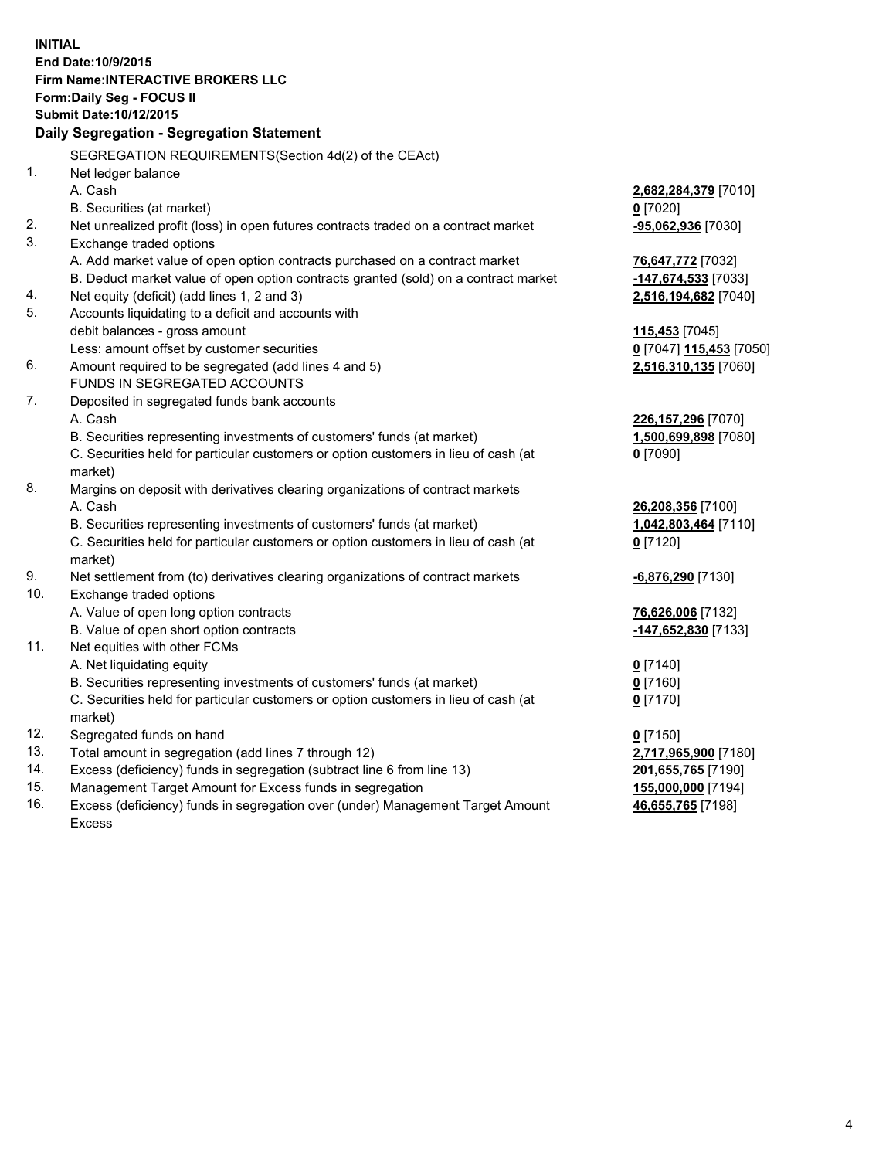**INITIAL End Date:10/9/2015 Firm Name:INTERACTIVE BROKERS LLC Form:Daily Seg - FOCUS II Submit Date:10/12/2015 Daily Segregation - Segregation Statement** SEGREGATION REQUIREMENTS(Section 4d(2) of the CEAct) 1. Net ledger balance A. Cash **2,682,284,379** [7010] B. Securities (at market) **0** [7020] 2. Net unrealized profit (loss) in open futures contracts traded on a contract market **-95,062,936** [7030] 3. Exchange traded options A. Add market value of open option contracts purchased on a contract market **76,647,772** [7032] B. Deduct market value of open option contracts granted (sold) on a contract market **-147,674,533** [7033] 4. Net equity (deficit) (add lines 1, 2 and 3) **2,516,194,682** [7040] 5. Accounts liquidating to a deficit and accounts with debit balances - gross amount **115,453** [7045] Less: amount offset by customer securities **0** [7047] **115,453** [7050] 6. Amount required to be segregated (add lines 4 and 5) **2,516,310,135** [7060] FUNDS IN SEGREGATED ACCOUNTS 7. Deposited in segregated funds bank accounts A. Cash **226,157,296** [7070] B. Securities representing investments of customers' funds (at market) **1,500,699,898** [7080] C. Securities held for particular customers or option customers in lieu of cash (at market) **0** [7090] 8. Margins on deposit with derivatives clearing organizations of contract markets A. Cash **26,208,356** [7100] B. Securities representing investments of customers' funds (at market) **1,042,803,464** [7110] C. Securities held for particular customers or option customers in lieu of cash (at market) **0** [7120] 9. Net settlement from (to) derivatives clearing organizations of contract markets **-6,876,290** [7130] 10. Exchange traded options A. Value of open long option contracts **76,626,006** [7132] B. Value of open short option contracts **-147,652,830** [7133] 11. Net equities with other FCMs A. Net liquidating equity **0** [7140] B. Securities representing investments of customers' funds (at market) **0** [7160] C. Securities held for particular customers or option customers in lieu of cash (at market) **0** [7170] 12. Segregated funds on hand **0** [7150] 13. Total amount in segregation (add lines 7 through 12) **2,717,965,900** [7180] 14. Excess (deficiency) funds in segregation (subtract line 6 from line 13) **201,655,765** [7190] 15. Management Target Amount for Excess funds in segregation **155,000,000** [7194]

16. Excess (deficiency) funds in segregation over (under) Management Target Amount Excess

**46,655,765** [7198]